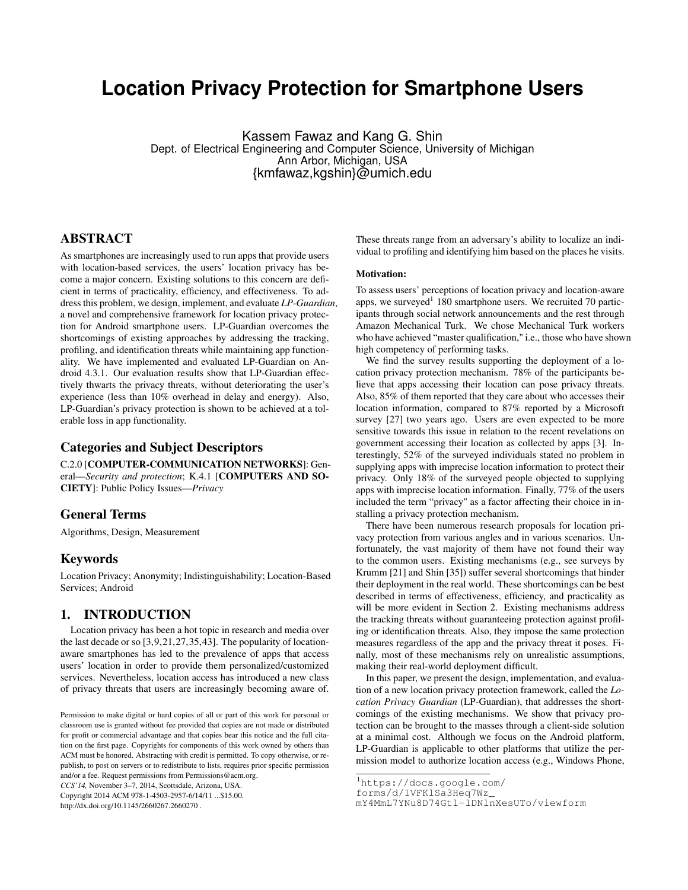# **Location Privacy Protection for Smartphone Users**

Kassem Fawaz and Kang G. Shin Dept. of Electrical Engineering and Computer Science, University of Michigan Ann Arbor, Michigan, USA {kmfawaz,kgshin}@umich.edu

# ABSTRACT

As smartphones are increasingly used to run apps that provide users with location-based services, the users' location privacy has become a major concern. Existing solutions to this concern are deficient in terms of practicality, efficiency, and effectiveness. To address this problem, we design, implement, and evaluate *LP-Guardian*, a novel and comprehensive framework for location privacy protection for Android smartphone users. LP-Guardian overcomes the shortcomings of existing approaches by addressing the tracking, profiling, and identification threats while maintaining app functionality. We have implemented and evaluated LP-Guardian on Android 4.3.1. Our evaluation results show that LP-Guardian effectively thwarts the privacy threats, without deteriorating the user's experience (less than 10% overhead in delay and energy). Also, LP-Guardian's privacy protection is shown to be achieved at a tolerable loss in app functionality.

# Categories and Subject Descriptors

C.2.0 [COMPUTER-COMMUNICATION NETWORKS]: General—*Security and protection*; K.4.1 [COMPUTERS AND SO-CIETY]: Public Policy Issues—*Privacy*

## General Terms

Algorithms, Design, Measurement

## Keywords

Location Privacy; Anonymity; Indistinguishability; Location-Based Services; Android

## 1. INTRODUCTION

Location privacy has been a hot topic in research and media over the last decade or so [3,9,21,27,35,43]. The popularity of locationaware smartphones has led to the prevalence of apps that access users' location in order to provide them personalized/customized services. Nevertheless, location access has introduced a new class of privacy threats that users are increasingly becoming aware of.

*CCS'14,* November 3–7, 2014, Scottsdale, Arizona, USA. Copyright 2014 ACM 978-1-4503-2957-6/14/11 ...\$15.00.

http://dx.doi.org/10.1145/2660267.2660270 .

These threats range from an adversary's ability to localize an individual to profiling and identifying him based on the places he visits.

#### Motivation:

To assess users' perceptions of location privacy and location-aware apps, we surveyed<sup>1</sup> 180 smartphone users. We recruited 70 participants through social network announcements and the rest through Amazon Mechanical Turk. We chose Mechanical Turk workers who have achieved "master qualification," i.e., those who have shown high competency of performing tasks.

We find the survey results supporting the deployment of a location privacy protection mechanism. 78% of the participants believe that apps accessing their location can pose privacy threats. Also, 85% of them reported that they care about who accesses their location information, compared to 87% reported by a Microsoft survey [27] two years ago. Users are even expected to be more sensitive towards this issue in relation to the recent revelations on government accessing their location as collected by apps [3]. Interestingly, 52% of the surveyed individuals stated no problem in supplying apps with imprecise location information to protect their privacy. Only 18% of the surveyed people objected to supplying apps with imprecise location information. Finally, 77% of the users included the term "privacy" as a factor affecting their choice in installing a privacy protection mechanism.

There have been numerous research proposals for location privacy protection from various angles and in various scenarios. Unfortunately, the vast majority of them have not found their way to the common users. Existing mechanisms (e.g., see surveys by Krumm [21] and Shin [35]) suffer several shortcomings that hinder their deployment in the real world. These shortcomings can be best described in terms of effectiveness, efficiency, and practicality as will be more evident in Section 2. Existing mechanisms address the tracking threats without guaranteeing protection against profiling or identification threats. Also, they impose the same protection measures regardless of the app and the privacy threat it poses. Finally, most of these mechanisms rely on unrealistic assumptions, making their real-world deployment difficult.

In this paper, we present the design, implementation, and evaluation of a new location privacy protection framework, called the *Location Privacy Guardian* (LP-Guardian), that addresses the shortcomings of the existing mechanisms. We show that privacy protection can be brought to the masses through a client-side solution at a minimal cost. Although we focus on the Android platform, LP-Guardian is applicable to other platforms that utilize the permission model to authorize location access (e.g., Windows Phone,

Permission to make digital or hard copies of all or part of this work for personal or classroom use is granted without fee provided that copies are not made or distributed for profit or commercial advantage and that copies bear this notice and the full citation on the first page. Copyrights for components of this work owned by others than ACM must be honored. Abstracting with credit is permitted. To copy otherwise, or republish, to post on servers or to redistribute to lists, requires prior specific permission and/or a fee. Request permissions from Permissions@acm.org.

<sup>1</sup>https://docs.google.com/

forms/d/1VFKlSa3Heq7Wz\_

mY4MmL7YNu8D74Gtl-lDNlnXesUTo/viewform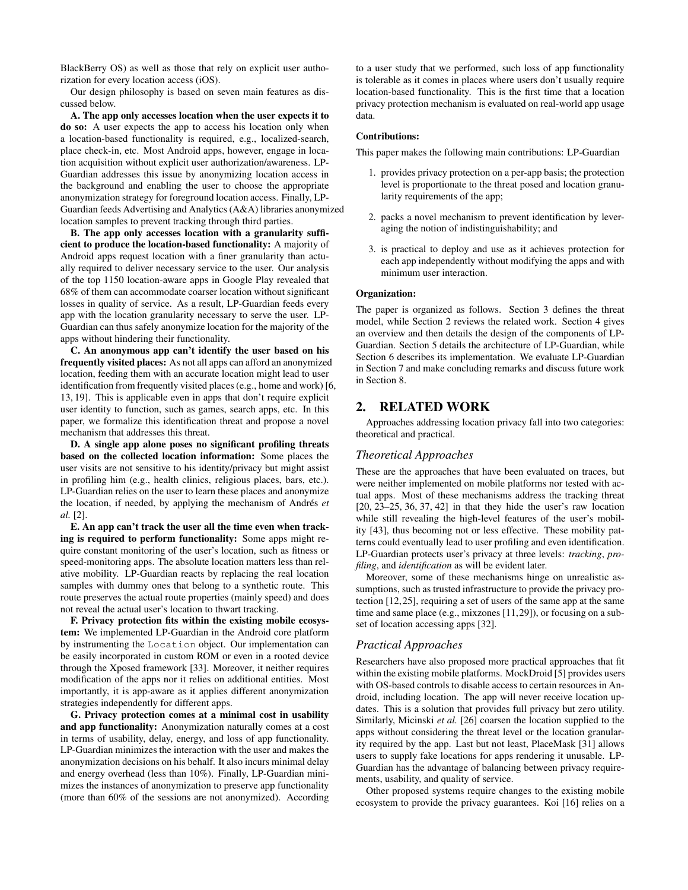BlackBerry OS) as well as those that rely on explicit user authorization for every location access (iOS).

Our design philosophy is based on seven main features as discussed below.

A. The app only accesses location when the user expects it to do so: A user expects the app to access his location only when a location-based functionality is required, e.g., localized-search, place check-in, etc. Most Android apps, however, engage in location acquisition without explicit user authorization/awareness. LP-Guardian addresses this issue by anonymizing location access in the background and enabling the user to choose the appropriate anonymization strategy for foreground location access. Finally, LP-Guardian feeds Advertising and Analytics (A&A) libraries anonymized location samples to prevent tracking through third parties.

B. The app only accesses location with a granularity sufficient to produce the location-based functionality: A majority of Android apps request location with a finer granularity than actually required to deliver necessary service to the user. Our analysis of the top 1150 location-aware apps in Google Play revealed that 68% of them can accommodate coarser location without significant losses in quality of service. As a result, LP-Guardian feeds every app with the location granularity necessary to serve the user. LP-Guardian can thus safely anonymize location for the majority of the apps without hindering their functionality.

C. An anonymous app can't identify the user based on his frequently visited places: As not all apps can afford an anonymized location, feeding them with an accurate location might lead to user identification from frequently visited places (e.g., home and work) [6, 13, 19]. This is applicable even in apps that don't require explicit user identity to function, such as games, search apps, etc. In this paper, we formalize this identification threat and propose a novel mechanism that addresses this threat.

D. A single app alone poses no significant profiling threats based on the collected location information: Some places the user visits are not sensitive to his identity/privacy but might assist in profiling him (e.g., health clinics, religious places, bars, etc.). LP-Guardian relies on the user to learn these places and anonymize the location, if needed, by applying the mechanism of Andrés *et al.* [2].

E. An app can't track the user all the time even when tracking is required to perform functionality: Some apps might require constant monitoring of the user's location, such as fitness or speed-monitoring apps. The absolute location matters less than relative mobility. LP-Guardian reacts by replacing the real location samples with dummy ones that belong to a synthetic route. This route preserves the actual route properties (mainly speed) and does not reveal the actual user's location to thwart tracking.

F. Privacy protection fits within the existing mobile ecosystem: We implemented LP-Guardian in the Android core platform by instrumenting the Location object. Our implementation can be easily incorporated in custom ROM or even in a rooted device through the Xposed framework [33]. Moreover, it neither requires modification of the apps nor it relies on additional entities. Most importantly, it is app-aware as it applies different anonymization strategies independently for different apps.

G. Privacy protection comes at a minimal cost in usability and app functionality: Anonymization naturally comes at a cost in terms of usability, delay, energy, and loss of app functionality. LP-Guardian minimizes the interaction with the user and makes the anonymization decisions on his behalf. It also incurs minimal delay and energy overhead (less than 10%). Finally, LP-Guardian minimizes the instances of anonymization to preserve app functionality (more than 60% of the sessions are not anonymized). According

to a user study that we performed, such loss of app functionality is tolerable as it comes in places where users don't usually require location-based functionality. This is the first time that a location privacy protection mechanism is evaluated on real-world app usage data.

#### Contributions:

This paper makes the following main contributions: LP-Guardian

- 1. provides privacy protection on a per-app basis; the protection level is proportionate to the threat posed and location granularity requirements of the app;
- 2. packs a novel mechanism to prevent identification by leveraging the notion of indistinguishability; and
- 3. is practical to deploy and use as it achieves protection for each app independently without modifying the apps and with minimum user interaction.

#### Organization:

The paper is organized as follows. Section 3 defines the threat model, while Section 2 reviews the related work. Section 4 gives an overview and then details the design of the components of LP-Guardian. Section 5 details the architecture of LP-Guardian, while Section 6 describes its implementation. We evaluate LP-Guardian in Section 7 and make concluding remarks and discuss future work in Section 8.

# 2. RELATED WORK

Approaches addressing location privacy fall into two categories: theoretical and practical.

#### *Theoretical Approaches*

These are the approaches that have been evaluated on traces, but were neither implemented on mobile platforms nor tested with actual apps. Most of these mechanisms address the tracking threat [20, 23–25, 36, 37, 42] in that they hide the user's raw location while still revealing the high-level features of the user's mobility [43], thus becoming not or less effective. These mobility patterns could eventually lead to user profiling and even identification. LP-Guardian protects user's privacy at three levels: *tracking*, *profiling*, and *identification* as will be evident later.

Moreover, some of these mechanisms hinge on unrealistic assumptions, such as trusted infrastructure to provide the privacy protection [12,25], requiring a set of users of the same app at the same time and same place (e.g., mixzones [11,29]), or focusing on a subset of location accessing apps [32].

#### *Practical Approaches*

Researchers have also proposed more practical approaches that fit within the existing mobile platforms. MockDroid [5] provides users with OS-based controls to disable access to certain resources in Android, including location. The app will never receive location updates. This is a solution that provides full privacy but zero utility. Similarly, Micinski *et al.* [26] coarsen the location supplied to the apps without considering the threat level or the location granularity required by the app. Last but not least, PlaceMask [31] allows users to supply fake locations for apps rendering it unusable. LP-Guardian has the advantage of balancing between privacy requirements, usability, and quality of service.

Other proposed systems require changes to the existing mobile ecosystem to provide the privacy guarantees. Koi [16] relies on a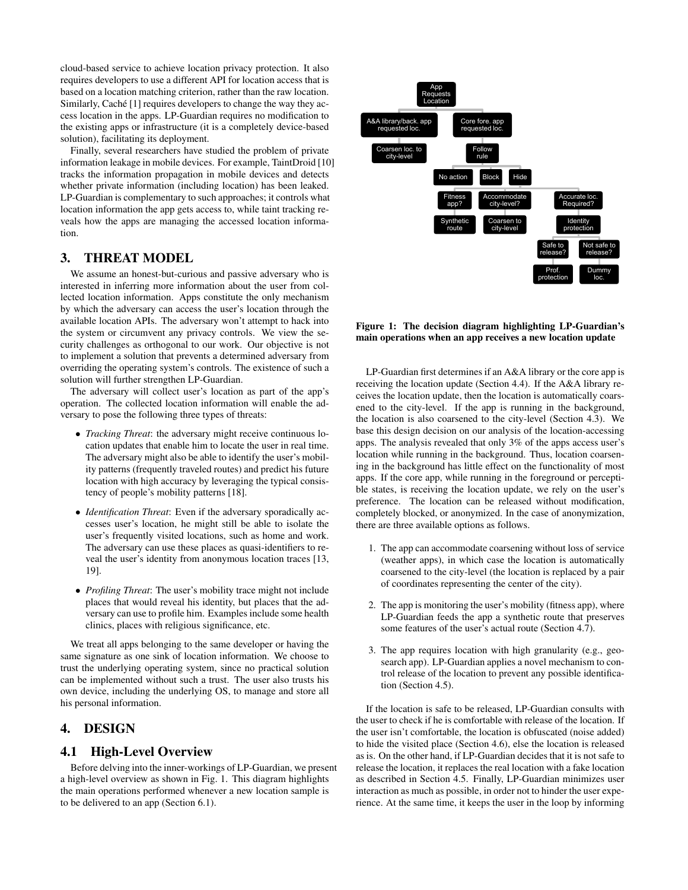cloud-based service to achieve location privacy protection. It also requires developers to use a different API for location access that is based on a location matching criterion, rather than the raw location. Similarly, Caché [1] requires developers to change the way they access location in the apps. LP-Guardian requires no modification to the existing apps or infrastructure (it is a completely device-based solution), facilitating its deployment.

Finally, several researchers have studied the problem of private information leakage in mobile devices. For example, TaintDroid [10] tracks the information propagation in mobile devices and detects whether private information (including location) has been leaked. LP-Guardian is complementary to such approaches; it controls what location information the app gets access to, while taint tracking reveals how the apps are managing the accessed location information.

# 3. THREAT MODEL

We assume an honest-but-curious and passive adversary who is interested in inferring more information about the user from collected location information. Apps constitute the only mechanism by which the adversary can access the user's location through the available location APIs. The adversary won't attempt to hack into the system or circumvent any privacy controls. We view the security challenges as orthogonal to our work. Our objective is not to implement a solution that prevents a determined adversary from overriding the operating system's controls. The existence of such a solution will further strengthen LP-Guardian.

The adversary will collect user's location as part of the app's operation. The collected location information will enable the adversary to pose the following three types of threats:

- *Tracking Threat*: the adversary might receive continuous location updates that enable him to locate the user in real time. The adversary might also be able to identify the user's mobility patterns (frequently traveled routes) and predict his future location with high accuracy by leveraging the typical consistency of people's mobility patterns [18].
- *Identification Threat*: Even if the adversary sporadically accesses user's location, he might still be able to isolate the user's frequently visited locations, such as home and work. The adversary can use these places as quasi-identifiers to reveal the user's identity from anonymous location traces [13, 19].
- *Profiling Threat*: The user's mobility trace might not include places that would reveal his identity, but places that the adversary can use to profile him. Examples include some health clinics, places with religious significance, etc.

We treat all apps belonging to the same developer or having the same signature as one sink of location information. We choose to trust the underlying operating system, since no practical solution can be implemented without such a trust. The user also trusts his own device, including the underlying OS, to manage and store all his personal information.

# 4. DESIGN

# 4.1 High-Level Overview

Before delving into the inner-workings of LP-Guardian, we present a high-level overview as shown in Fig. 1. This diagram highlights the main operations performed whenever a new location sample is to be delivered to an app (Section 6.1).



#### Figure 1: The decision diagram highlighting LP-Guardian's main operations when an app receives a new location update

LP-Guardian first determines if an A&A library or the core app is receiving the location update (Section 4.4). If the A&A library receives the location update, then the location is automatically coarsened to the city-level. If the app is running in the background, the location is also coarsened to the city-level (Section 4.3). We base this design decision on our analysis of the location-accessing apps. The analysis revealed that only 3% of the apps access user's location while running in the background. Thus, location coarsening in the background has little effect on the functionality of most apps. If the core app, while running in the foreground or perceptible states, is receiving the location update, we rely on the user's preference. The location can be released without modification, completely blocked, or anonymized. In the case of anonymization, there are three available options as follows.

- 1. The app can accommodate coarsening without loss of service (weather apps), in which case the location is automatically coarsened to the city-level (the location is replaced by a pair of coordinates representing the center of the city).
- 2. The app is monitoring the user's mobility (fitness app), where LP-Guardian feeds the app a synthetic route that preserves some features of the user's actual route (Section 4.7).
- 3. The app requires location with high granularity (e.g., geosearch app). LP-Guardian applies a novel mechanism to control release of the location to prevent any possible identification (Section 4.5).

If the location is safe to be released, LP-Guardian consults with the user to check if he is comfortable with release of the location. If the user isn't comfortable, the location is obfuscated (noise added) to hide the visited place (Section 4.6), else the location is released as is. On the other hand, if LP-Guardian decides that it is not safe to release the location, it replaces the real location with a fake location as described in Section 4.5. Finally, LP-Guardian minimizes user interaction as much as possible, in order not to hinder the user experience. At the same time, it keeps the user in the loop by informing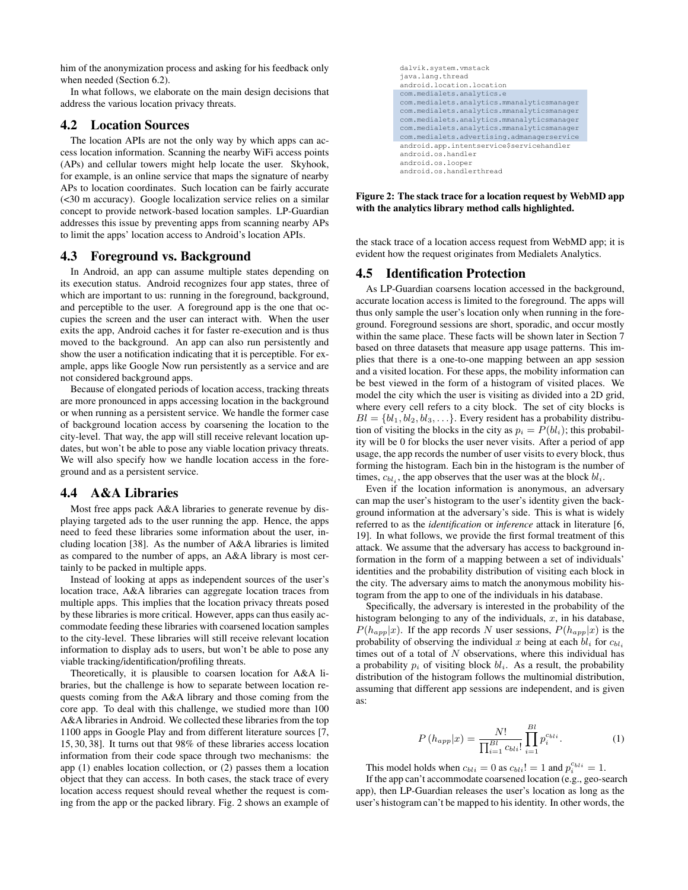him of the anonymization process and asking for his feedback only when needed (Section 6.2).

In what follows, we elaborate on the main design decisions that address the various location privacy threats.

## 4.2 Location Sources

The location APIs are not the only way by which apps can access location information. Scanning the nearby WiFi access points (APs) and cellular towers might help locate the user. Skyhook, for example, is an online service that maps the signature of nearby APs to location coordinates. Such location can be fairly accurate (<30 m accuracy). Google localization service relies on a similar concept to provide network-based location samples. LP-Guardian addresses this issue by preventing apps from scanning nearby APs to limit the apps' location access to Android's location APIs.

## 4.3 Foreground vs. Background

In Android, an app can assume multiple states depending on its execution status. Android recognizes four app states, three of which are important to us: running in the foreground, background, and perceptible to the user. A foreground app is the one that occupies the screen and the user can interact with. When the user exits the app, Android caches it for faster re-execution and is thus moved to the background. An app can also run persistently and show the user a notification indicating that it is perceptible. For example, apps like Google Now run persistently as a service and are not considered background apps.

Because of elongated periods of location access, tracking threats are more pronounced in apps accessing location in the background or when running as a persistent service. We handle the former case of background location access by coarsening the location to the city-level. That way, the app will still receive relevant location updates, but won't be able to pose any viable location privacy threats. We will also specify how we handle location access in the foreground and as a persistent service.

## 4.4 A&A Libraries

Most free apps pack A&A libraries to generate revenue by displaying targeted ads to the user running the app. Hence, the apps need to feed these libraries some information about the user, including location [38]. As the number of A&A libraries is limited as compared to the number of apps, an A&A library is most certainly to be packed in multiple apps.

Instead of looking at apps as independent sources of the user's location trace, A&A libraries can aggregate location traces from multiple apps. This implies that the location privacy threats posed by these libraries is more critical. However, apps can thus easily accommodate feeding these libraries with coarsened location samples to the city-level. These libraries will still receive relevant location information to display ads to users, but won't be able to pose any viable tracking/identification/profiling threats.

Theoretically, it is plausible to coarsen location for A&A libraries, but the challenge is how to separate between location requests coming from the A&A library and those coming from the core app. To deal with this challenge, we studied more than 100 A&A libraries in Android. We collected these libraries from the top 1100 apps in Google Play and from different literature sources [7, 15, 30, 38]. It turns out that 98% of these libraries access location information from their code space through two mechanisms: the app (1) enables location collection, or (2) passes them a location object that they can access. In both cases, the stack trace of every location access request should reveal whether the request is coming from the app or the packed library. Fig. 2 shows an example of



Figure 2: The stack trace for a location request by WebMD app with the analytics library method calls highlighted.

the stack trace of a location access request from WebMD app; it is evident how the request originates from Medialets Analytics.

## 4.5 Identification Protection

As LP-Guardian coarsens location accessed in the background, accurate location access is limited to the foreground. The apps will thus only sample the user's location only when running in the foreground. Foreground sessions are short, sporadic, and occur mostly within the same place. These facts will be shown later in Section 7 based on three datasets that measure app usage patterns. This implies that there is a one-to-one mapping between an app session and a visited location. For these apps, the mobility information can be best viewed in the form of a histogram of visited places. We model the city which the user is visiting as divided into a 2D grid, where every cell refers to a city block. The set of city blocks is  $Bl = \{bl_1, bl_2, bl_3, \ldots\}$ . Every resident has a probability distribution of visiting the blocks in the city as  $p_i = P(b_i)$ ; this probability will be 0 for blocks the user never visits. After a period of app usage, the app records the number of user visits to every block, thus forming the histogram. Each bin in the histogram is the number of times,  $c_{bl_i}$ , the app observes that the user was at the block  $bl_i$ .

Even if the location information is anonymous, an adversary can map the user's histogram to the user's identity given the background information at the adversary's side. This is what is widely referred to as the *identification* or *inference* attack in literature [6, 19]. In what follows, we provide the first formal treatment of this attack. We assume that the adversary has access to background information in the form of a mapping between a set of individuals' identities and the probability distribution of visiting each block in the city. The adversary aims to match the anonymous mobility histogram from the app to one of the individuals in his database.

Specifically, the adversary is interested in the probability of the histogram belonging to any of the individuals,  $x$ , in his database,  $P(h_{app}|x)$ . If the app records N user sessions,  $P(h_{app}|x)$  is the probability of observing the individual x being at each  $bl_i$  for  $c_{bl_i}$ times out of a total of  $N$  observations, where this individual has a probability  $p_i$  of visiting block  $bl_i$ . As a result, the probability distribution of the histogram follows the multinomial distribution, assuming that different app sessions are independent, and is given as:

$$
P(h_{app}|x) = \frac{N!}{\prod_{i=1}^{B_l} c_{bli}!} \prod_{i=1}^{B_l} p_i^{c_{bli}}.
$$
 (1)

This model holds when  $c_{bli} = 0$  as  $c_{bli}! = 1$  and  $p_i^{c_{bli}} = 1$ .

If the app can't accommodate coarsened location (e.g., geo-search app), then LP-Guardian releases the user's location as long as the user's histogram can't be mapped to his identity. In other words, the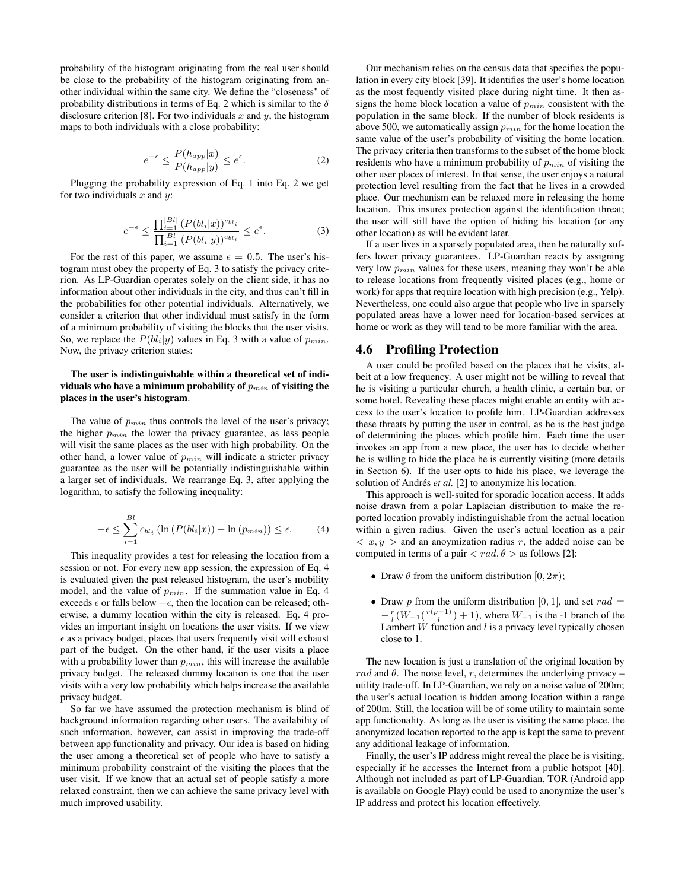probability of the histogram originating from the real user should be close to the probability of the histogram originating from another individual within the same city. We define the "closeness" of probability distributions in terms of Eq. 2 which is similar to the  $\delta$ disclosure criterion [8]. For two individuals  $x$  and  $y$ , the histogram maps to both individuals with a close probability:

$$
e^{-\epsilon} \le \frac{P(h_{app}|x)}{P(h_{app}|y)} \le e^{\epsilon}.\tag{2}
$$

Plugging the probability expression of Eq. 1 into Eq. 2 we get for two individuals  $x$  and  $y$ :

$$
e^{-\epsilon} \le \frac{\prod_{i=1}^{|B|} (P(b l_i | x))^{c_{bl_i}}}{\prod_{i=1}^{|B|} (P(b l_i | y))^{c_{bl_i}}} \le e^{\epsilon}.
$$
 (3)

For the rest of this paper, we assume  $\epsilon = 0.5$ . The user's histogram must obey the property of Eq. 3 to satisfy the privacy criterion. As LP-Guardian operates solely on the client side, it has no information about other individuals in the city, and thus can't fill in the probabilities for other potential individuals. Alternatively, we consider a criterion that other individual must satisfy in the form of a minimum probability of visiting the blocks that the user visits. So, we replace the  $P(bl_i|y)$  values in Eq. 3 with a value of  $p_{min}$ . Now, the privacy criterion states:

#### The user is indistinguishable within a theoretical set of individuals who have a minimum probability of  $p_{min}$  of visiting the places in the user's histogram.

The value of  $p_{min}$  thus controls the level of the user's privacy; the higher  $p_{min}$  the lower the privacy guarantee, as less people will visit the same places as the user with high probability. On the other hand, a lower value of  $p_{min}$  will indicate a stricter privacy guarantee as the user will be potentially indistinguishable within a larger set of individuals. We rearrange Eq. 3, after applying the logarithm, to satisfy the following inequality:

$$
-\epsilon \leq \sum_{i=1}^{Bl} c_{bl_i} \left( \ln \left( P(bl_i | x) \right) - \ln \left( p_{min} \right) \right) \leq \epsilon.
$$
 (4)

This inequality provides a test for releasing the location from a session or not. For every new app session, the expression of Eq. 4 is evaluated given the past released histogram, the user's mobility model, and the value of  $p_{min}$ . If the summation value in Eq. 4 exceeds  $\epsilon$  or falls below  $-\epsilon$ , then the location can be released; otherwise, a dummy location within the city is released. Eq. 4 provides an important insight on locations the user visits. If we view  $\epsilon$  as a privacy budget, places that users frequently visit will exhaust part of the budget. On the other hand, if the user visits a place with a probability lower than  $p_{min}$ , this will increase the available privacy budget. The released dummy location is one that the user visits with a very low probability which helps increase the available privacy budget.

So far we have assumed the protection mechanism is blind of background information regarding other users. The availability of such information, however, can assist in improving the trade-off between app functionality and privacy. Our idea is based on hiding the user among a theoretical set of people who have to satisfy a minimum probability constraint of the visiting the places that the user visit. If we know that an actual set of people satisfy a more relaxed constraint, then we can achieve the same privacy level with much improved usability.

Our mechanism relies on the census data that specifies the population in every city block [39]. It identifies the user's home location as the most fequently visited place during night time. It then assigns the home block location a value of  $p_{min}$  consistent with the population in the same block. If the number of block residents is above 500, we automatically assign  $p_{min}$  for the home location the same value of the user's probability of visiting the home location. The privacy criteria then transforms to the subset of the home block residents who have a minimum probability of  $p_{min}$  of visiting the other user places of interest. In that sense, the user enjoys a natural protection level resulting from the fact that he lives in a crowded place. Our mechanism can be relaxed more in releasing the home location. This insures protection against the identification threat; the user will still have the option of hiding his location (or any other location) as will be evident later.

If a user lives in a sparsely populated area, then he naturally suffers lower privacy guarantees. LP-Guardian reacts by assigning very low  $p_{min}$  values for these users, meaning they won't be able to release locations from frequently visited places (e.g., home or work) for apps that require location with high precision (e.g., Yelp). Nevertheless, one could also argue that people who live in sparsely populated areas have a lower need for location-based services at home or work as they will tend to be more familiar with the area.

#### 4.6 Profiling Protection

A user could be profiled based on the places that he visits, albeit at a low frequency. A user might not be willing to reveal that he is visiting a particular church, a health clinic, a certain bar, or some hotel. Revealing these places might enable an entity with access to the user's location to profile him. LP-Guardian addresses these threats by putting the user in control, as he is the best judge of determining the places which profile him. Each time the user invokes an app from a new place, the user has to decide whether he is willing to hide the place he is currently visiting (more details in Section 6). If the user opts to hide his place, we leverage the solution of Andrés *et al.* [2] to anonymize his location.

This approach is well-suited for sporadic location access. It adds noise drawn from a polar Laplacian distribution to make the reported location provably indistinguishable from the actual location within a given radius. Given the user's actual location as a pair  $\langle x, y \rangle$  and an anoymization radius r, the added noise can be computed in terms of a pair  $\langle rad, \theta \rangle$  as follows [2]:

- Draw  $\theta$  from the uniform distribution  $[0, 2\pi)$ ;
- Draw p from the uniform distribution [0, 1], and set  $rad =$  $-\frac{r}{l}(W_{-1}(\frac{r(p-1)}{l})+1)$ , where  $W_{-1}$  is the -1 branch of the Lambert  $W$  function and  $l$  is a privacy level typically chosen close to 1.

The new location is just a translation of the original location by rad and  $\theta$ . The noise level, r, determines the underlying privacy – utility trade-off. In LP-Guardian, we rely on a noise value of 200m; the user's actual location is hidden among location within a range of 200m. Still, the location will be of some utility to maintain some app functionality. As long as the user is visiting the same place, the anonymized location reported to the app is kept the same to prevent any additional leakage of information.

Finally, the user's IP address might reveal the place he is visiting, especially if he accesses the Internet from a public hotspot [40]. Although not included as part of LP-Guardian, TOR (Android app is available on Google Play) could be used to anonymize the user's IP address and protect his location effectively.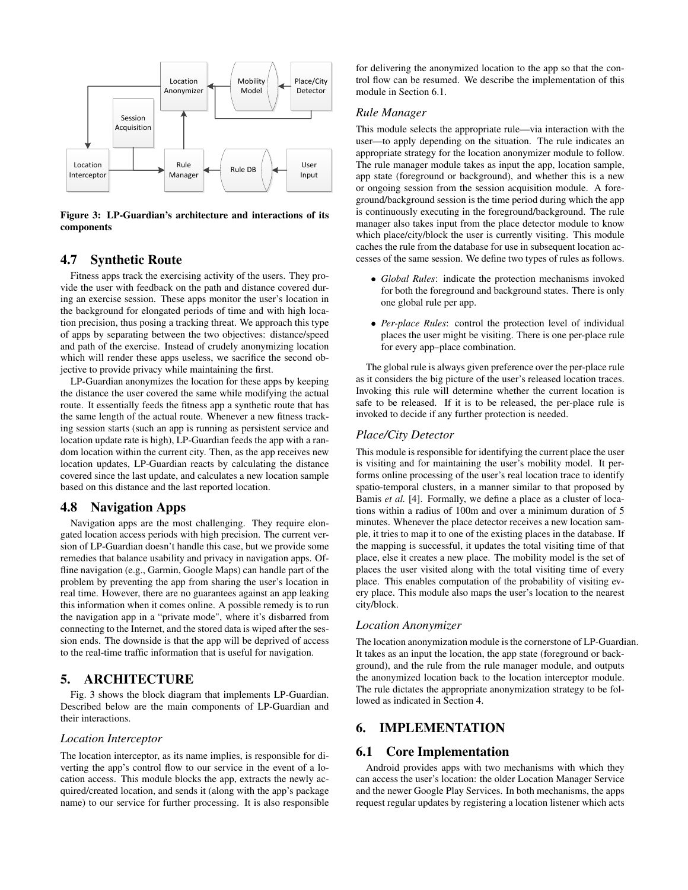

Figure 3: LP-Guardian's architecture and interactions of its components

# 4.7 Synthetic Route

Fitness apps track the exercising activity of the users. They provide the user with feedback on the path and distance covered during an exercise session. These apps monitor the user's location in the background for elongated periods of time and with high location precision, thus posing a tracking threat. We approach this type of apps by separating between the two objectives: distance/speed and path of the exercise. Instead of crudely anonymizing location which will render these apps useless, we sacrifice the second objective to provide privacy while maintaining the first.

LP-Guardian anonymizes the location for these apps by keeping the distance the user covered the same while modifying the actual route. It essentially feeds the fitness app a synthetic route that has the same length of the actual route. Whenever a new fitness tracking session starts (such an app is running as persistent service and location update rate is high), LP-Guardian feeds the app with a random location within the current city. Then, as the app receives new location updates, LP-Guardian reacts by calculating the distance covered since the last update, and calculates a new location sample based on this distance and the last reported location.

# 4.8 Navigation Apps

Navigation apps are the most challenging. They require elongated location access periods with high precision. The current version of LP-Guardian doesn't handle this case, but we provide some remedies that balance usability and privacy in navigation apps. Offline navigation (e.g., Garmin, Google Maps) can handle part of the problem by preventing the app from sharing the user's location in real time. However, there are no guarantees against an app leaking this information when it comes online. A possible remedy is to run the navigation app in a "private mode", where it's disbarred from connecting to the Internet, and the stored data is wiped after the session ends. The downside is that the app will be deprived of access to the real-time traffic information that is useful for navigation.

# 5. ARCHITECTURE

Fig. 3 shows the block diagram that implements LP-Guardian. Described below are the main components of LP-Guardian and their interactions.

#### *Location Interceptor*

The location interceptor, as its name implies, is responsible for diverting the app's control flow to our service in the event of a location access. This module blocks the app, extracts the newly acquired/created location, and sends it (along with the app's package name) to our service for further processing. It is also responsible

for delivering the anonymized location to the app so that the control flow can be resumed. We describe the implementation of this module in Section 6.1.

#### *Rule Manager*

This module selects the appropriate rule—via interaction with the user—to apply depending on the situation. The rule indicates an appropriate strategy for the location anonymizer module to follow. The rule manager module takes as input the app, location sample, app state (foreground or background), and whether this is a new or ongoing session from the session acquisition module. A foreground/background session is the time period during which the app is continuously executing in the foreground/background. The rule manager also takes input from the place detector module to know which place/city/block the user is currently visiting. This module caches the rule from the database for use in subsequent location accesses of the same session. We define two types of rules as follows.

- *Global Rules*: indicate the protection mechanisms invoked for both the foreground and background states. There is only one global rule per app.
- *Per-place Rules*: control the protection level of individual places the user might be visiting. There is one per-place rule for every app–place combination.

The global rule is always given preference over the per-place rule as it considers the big picture of the user's released location traces. Invoking this rule will determine whether the current location is safe to be released. If it is to be released, the per-place rule is invoked to decide if any further protection is needed.

#### *Place/City Detector*

This module is responsible for identifying the current place the user is visiting and for maintaining the user's mobility model. It performs online processing of the user's real location trace to identify spatio-temporal clusters, in a manner similar to that proposed by Bamis *et al.* [4]. Formally, we define a place as a cluster of locations within a radius of 100m and over a minimum duration of 5 minutes. Whenever the place detector receives a new location sample, it tries to map it to one of the existing places in the database. If the mapping is successful, it updates the total visiting time of that place, else it creates a new place. The mobility model is the set of places the user visited along with the total visiting time of every place. This enables computation of the probability of visiting every place. This module also maps the user's location to the nearest city/block.

#### *Location Anonymizer*

The location anonymization module is the cornerstone of LP-Guardian. It takes as an input the location, the app state (foreground or background), and the rule from the rule manager module, and outputs the anonymized location back to the location interceptor module. The rule dictates the appropriate anonymization strategy to be followed as indicated in Section 4.

# 6. IMPLEMENTATION

## 6.1 Core Implementation

Android provides apps with two mechanisms with which they can access the user's location: the older Location Manager Service and the newer Google Play Services. In both mechanisms, the apps request regular updates by registering a location listener which acts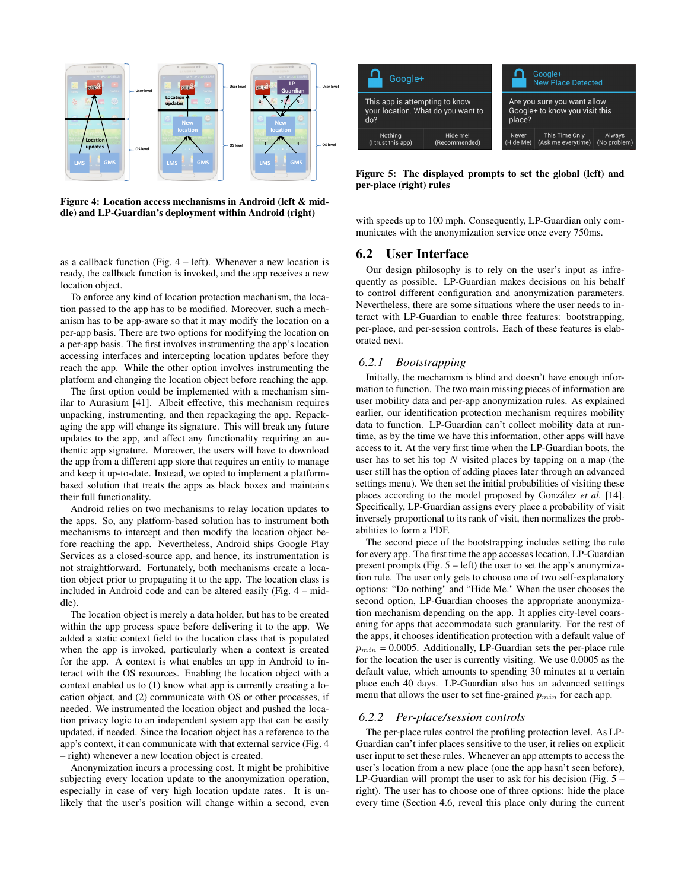

Figure 4: Location access mechanisms in Android (left & middle) and LP-Guardian's deployment within Android (right)

as a callback function (Fig.  $4 - left$ ). Whenever a new location is ready, the callback function is invoked, and the app receives a new location object.

To enforce any kind of location protection mechanism, the location passed to the app has to be modified. Moreover, such a mechanism has to be app-aware so that it may modify the location on a per-app basis. There are two options for modifying the location on a per-app basis. The first involves instrumenting the app's location accessing interfaces and intercepting location updates before they reach the app. While the other option involves instrumenting the platform and changing the location object before reaching the app.

The first option could be implemented with a mechanism similar to Aurasium [41]. Albeit effective, this mechanism requires unpacking, instrumenting, and then repackaging the app. Repackaging the app will change its signature. This will break any future updates to the app, and affect any functionality requiring an authentic app signature. Moreover, the users will have to download the app from a different app store that requires an entity to manage and keep it up-to-date. Instead, we opted to implement a platformbased solution that treats the apps as black boxes and maintains their full functionality.

Android relies on two mechanisms to relay location updates to the apps. So, any platform-based solution has to instrument both mechanisms to intercept and then modify the location object before reaching the app. Nevertheless, Android ships Google Play Services as a closed-source app, and hence, its instrumentation is not straightforward. Fortunately, both mechanisms create a location object prior to propagating it to the app. The location class is included in Android code and can be altered easily (Fig. 4 – middle).

The location object is merely a data holder, but has to be created within the app process space before delivering it to the app. We added a static context field to the location class that is populated when the app is invoked, particularly when a context is created for the app. A context is what enables an app in Android to interact with the OS resources. Enabling the location object with a context enabled us to (1) know what app is currently creating a location object, and (2) communicate with OS or other processes, if needed. We instrumented the location object and pushed the location privacy logic to an independent system app that can be easily updated, if needed. Since the location object has a reference to the app's context, it can communicate with that external service (Fig. 4 – right) whenever a new location object is created.

Anonymization incurs a processing cost. It might be prohibitive subjecting every location update to the anonymization operation, especially in case of very high location update rates. It is unlikely that the user's position will change within a second, even



Figure 5: The displayed prompts to set the global (left) and per-place (right) rules

with speeds up to 100 mph. Consequently, LP-Guardian only communicates with the anonymization service once every 750ms.

## 6.2 User Interface

Our design philosophy is to rely on the user's input as infrequently as possible. LP-Guardian makes decisions on his behalf to control different configuration and anonymization parameters. Nevertheless, there are some situations where the user needs to interact with LP-Guardian to enable three features: bootstrapping, per-place, and per-session controls. Each of these features is elaborated next.

## *6.2.1 Bootstrapping*

Initially, the mechanism is blind and doesn't have enough information to function. The two main missing pieces of information are user mobility data and per-app anonymization rules. As explained earlier, our identification protection mechanism requires mobility data to function. LP-Guardian can't collect mobility data at runtime, as by the time we have this information, other apps will have access to it. At the very first time when the LP-Guardian boots, the user has to set his top  $N$  visited places by tapping on a map (the user still has the option of adding places later through an advanced settings menu). We then set the initial probabilities of visiting these places according to the model proposed by González *et al.* [14]. Specifically, LP-Guardian assigns every place a probability of visit inversely proportional to its rank of visit, then normalizes the probabilities to form a PDF.

The second piece of the bootstrapping includes setting the rule for every app. The first time the app accesses location, LP-Guardian present prompts (Fig.  $5$  – left) the user to set the app's anonymization rule. The user only gets to choose one of two self-explanatory options: "Do nothing" and "Hide Me." When the user chooses the second option, LP-Guardian chooses the appropriate anonymization mechanism depending on the app. It applies city-level coarsening for apps that accommodate such granularity. For the rest of the apps, it chooses identification protection with a default value of  $p_{min} = 0.0005$ . Additionally, LP-Guardian sets the per-place rule for the location the user is currently visiting. We use 0.0005 as the default value, which amounts to spending 30 minutes at a certain place each 40 days. LP-Guardian also has an advanced settings menu that allows the user to set fine-grained  $p_{min}$  for each app.

#### *6.2.2 Per-place/session controls*

The per-place rules control the profiling protection level. As LP-Guardian can't infer places sensitive to the user, it relies on explicit user input to set these rules. Whenever an app attempts to access the user's location from a new place (one the app hasn't seen before), LP-Guardian will prompt the user to ask for his decision (Fig. 5 – right). The user has to choose one of three options: hide the place every time (Section 4.6, reveal this place only during the current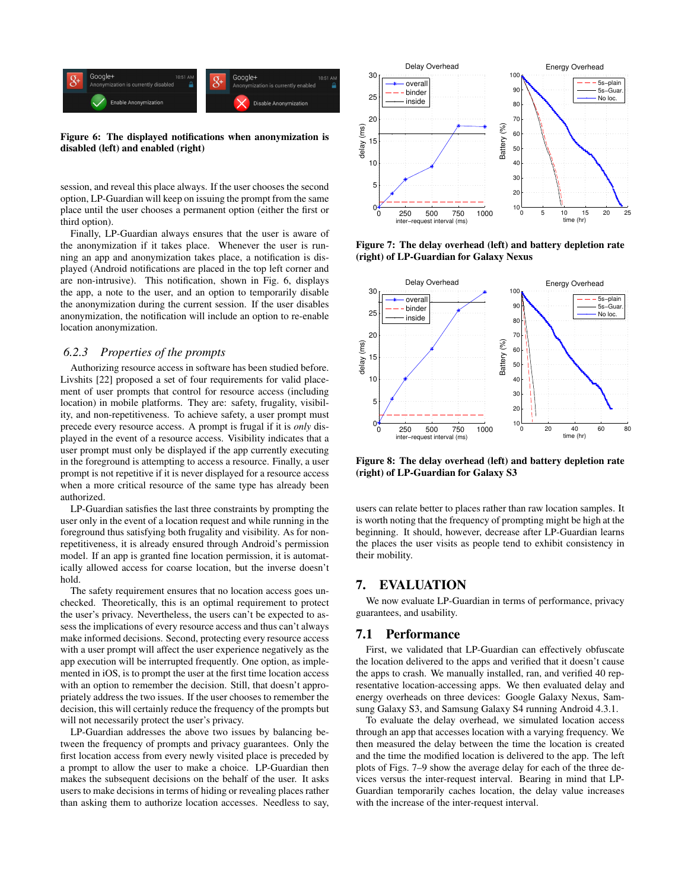

Figure 6: The displayed notifications when anonymization is disabled (left) and enabled (right)

session, and reveal this place always. If the user chooses the second option, LP-Guardian will keep on issuing the prompt from the same place until the user chooses a permanent option (either the first or third option).

Finally, LP-Guardian always ensures that the user is aware of the anonymization if it takes place. Whenever the user is running an app and anonymization takes place, a notification is displayed (Android notifications are placed in the top left corner and are non-intrusive). This notification, shown in Fig. 6, displays the app, a note to the user, and an option to temporarily disable the anonymization during the current session. If the user disables anonymization, the notification will include an option to re-enable location anonymization.

#### *6.2.3 Properties of the prompts*

Authorizing resource access in software has been studied before. Livshits [22] proposed a set of four requirements for valid placement of user prompts that control for resource access (including location) in mobile platforms. They are: safety, frugality, visibility, and non-repetitiveness. To achieve safety, a user prompt must precede every resource access. A prompt is frugal if it is *only* displayed in the event of a resource access. Visibility indicates that a user prompt must only be displayed if the app currently executing in the foreground is attempting to access a resource. Finally, a user prompt is not repetitive if it is never displayed for a resource access when a more critical resource of the same type has already been authorized.

LP-Guardian satisfies the last three constraints by prompting the user only in the event of a location request and while running in the foreground thus satisfying both frugality and visibility. As for nonrepetitiveness, it is already ensured through Android's permission model. If an app is granted fine location permission, it is automatically allowed access for coarse location, but the inverse doesn't hold.

The safety requirement ensures that no location access goes unchecked. Theoretically, this is an optimal requirement to protect the user's privacy. Nevertheless, the users can't be expected to assess the implications of every resource access and thus can't always make informed decisions. Second, protecting every resource access with a user prompt will affect the user experience negatively as the app execution will be interrupted frequently. One option, as implemented in iOS, is to prompt the user at the first time location access with an option to remember the decision. Still, that doesn't appropriately address the two issues. If the user chooses to remember the decision, this will certainly reduce the frequency of the prompts but will not necessarily protect the user's privacy.

LP-Guardian addresses the above two issues by balancing between the frequency of prompts and privacy guarantees. Only the first location access from every newly visited place is preceded by a prompt to allow the user to make a choice. LP-Guardian then makes the subsequent decisions on the behalf of the user. It asks users to make decisions in terms of hiding or revealing places rather than asking them to authorize location accesses. Needless to say,



Figure 7: The delay overhead (left) and battery depletion rate (right) of LP-Guardian for Galaxy Nexus



Figure 8: The delay overhead (left) and battery depletion rate (right) of LP-Guardian for Galaxy S3

users can relate better to places rather than raw location samples. It is worth noting that the frequency of prompting might be high at the beginning. It should, however, decrease after LP-Guardian learns the places the user visits as people tend to exhibit consistency in their mobility.

# 7. EVALUATION

We now evaluate LP-Guardian in terms of performance, privacy guarantees, and usability.

#### 7.1 Performance

First, we validated that LP-Guardian can effectively obfuscate the location delivered to the apps and verified that it doesn't cause the apps to crash. We manually installed, ran, and verified 40 representative location-accessing apps. We then evaluated delay and energy overheads on three devices: Google Galaxy Nexus, Samsung Galaxy S3, and Samsung Galaxy S4 running Android 4.3.1.

To evaluate the delay overhead, we simulated location access through an app that accesses location with a varying frequency. We then measured the delay between the time the location is created and the time the modified location is delivered to the app. The left plots of Figs. 7–9 show the average delay for each of the three devices versus the inter-request interval. Bearing in mind that LP-Guardian temporarily caches location, the delay value increases with the increase of the inter-request interval.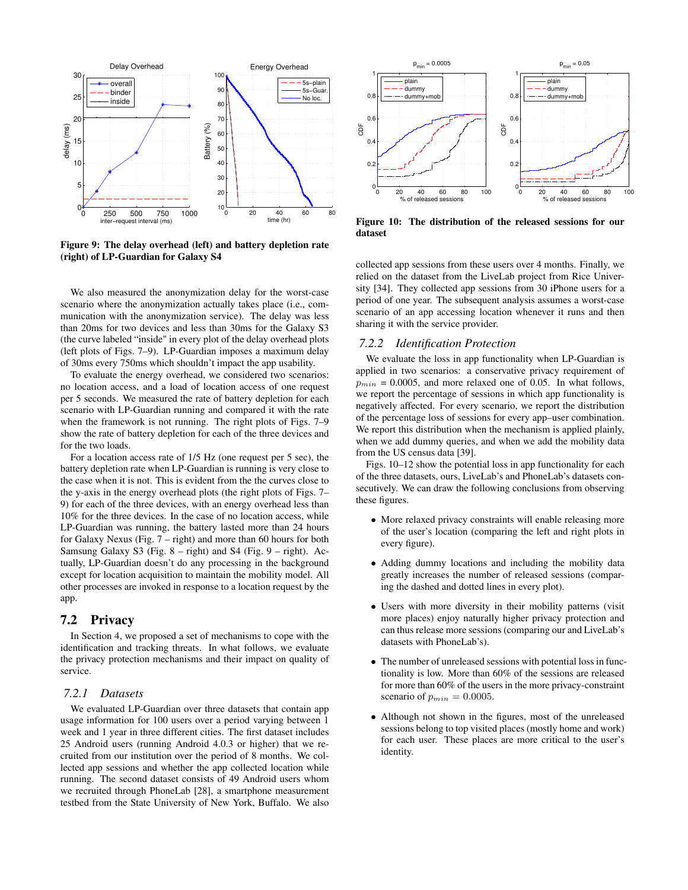

Figure 9: The delay overhead (left) and battery depletion rate (right) of LP-Guardian for Galaxy S4

We also measured the anonymization delay for the worst-case scenario where the anonymization actually takes place (i.e., communication with the anonymization service). The delay was less than 20ms for two devices and less than 30ms for the Galaxy S3 (the curve labeled "inside" in every plot of the delay overhead plots (left plots of Figs. 7–9). LP-Guardian imposes a maximum delay of 30ms every 750ms which shouldn't impact the app usability.

To evaluate the energy overhead, we considered two scenarios: no location access, and a load of location access of one request per 5 seconds. We measured the rate of battery depletion for each scenario with LP-Guardian running and compared it with the rate when the framework is not running. The right plots of Figs. 7–9 show the rate of battery depletion for each of the three devices and for the two loads.

For a location access rate of 1/5 Hz (one request per 5 sec), the battery depletion rate when LP-Guardian is running is very close to the case when it is not. This is evident from the the curves close to the y-axis in the energy overhead plots (the right plots of Figs. 7– 9) for each of the three devices, with an energy overhead less than 10% for the three devices. In the case of no location access, while LP-Guardian was running, the battery lasted more than 24 hours for Galaxy Nexus (Fig. 7 – right) and more than 60 hours for both Samsung Galaxy S3 (Fig. 8 – right) and S4 (Fig. 9 – right). Actually, LP-Guardian doesn't do any processing in the background except for location acquisition to maintain the mobility model. All other processes are invoked in response to a location request by the app.

# 7.2 Privacy

In Section 4, we proposed a set of mechanisms to cope with the identification and tracking threats. In what follows, we evaluate the privacy protection mechanisms and their impact on quality of service.

#### *7.2.1 Datasets*

We evaluated LP-Guardian over three datasets that contain app usage information for 100 users over a period varying between 1 week and 1 year in three different cities. The first dataset includes 25 Android users (running Android 4.0.3 or higher) that we recruited from our institution over the period of 8 months. We collected app sessions and whether the app collected location while running. The second dataset consists of 49 Android users whom we recruited through PhoneLab [28], a smartphone measurement testbed from the State University of New York, Buffalo. We also



Figure 10: The distribution of the released sessions for our dataset

collected app sessions from these users over 4 months. Finally, we relied on the dataset from the LiveLab project from Rice University [34]. They collected app sessions from 30 iPhone users for a period of one year. The subsequent analysis assumes a worst-case scenario of an app accessing location whenever it runs and then sharing it with the service provider.

#### *7.2.2 Identification Protection*

We evaluate the loss in app functionality when LP-Guardian is applied in two scenarios: a conservative privacy requirement of  $p_{min} = 0.0005$ , and more relaxed one of 0.05. In what follows, we report the percentage of sessions in which app functionality is negatively affected. For every scenario, we report the distribution of the percentage loss of sessions for every app–user combination. We report this distribution when the mechanism is applied plainly, when we add dummy queries, and when we add the mobility data from the US census data [39].

Figs. 10–12 show the potential loss in app functionality for each of the three datasets, ours, LiveLab's and PhoneLab's datasets consecutively. We can draw the following conclusions from observing these figures.

- More relaxed privacy constraints will enable releasing more of the user's location (comparing the left and right plots in every figure).
- Adding dummy locations and including the mobility data greatly increases the number of released sessions (comparing the dashed and dotted lines in every plot).
- Users with more diversity in their mobility patterns (visit more places) enjoy naturally higher privacy protection and can thus release more sessions (comparing our and LiveLab's datasets with PhoneLab's).
- The number of unreleased sessions with potential loss in functionality is low. More than 60% of the sessions are released for more than 60% of the users in the more privacy-constraint scenario of  $p_{min} = 0.0005$ .
- Although not shown in the figures, most of the unreleased sessions belong to top visited places (mostly home and work) for each user. These places are more critical to the user's identity.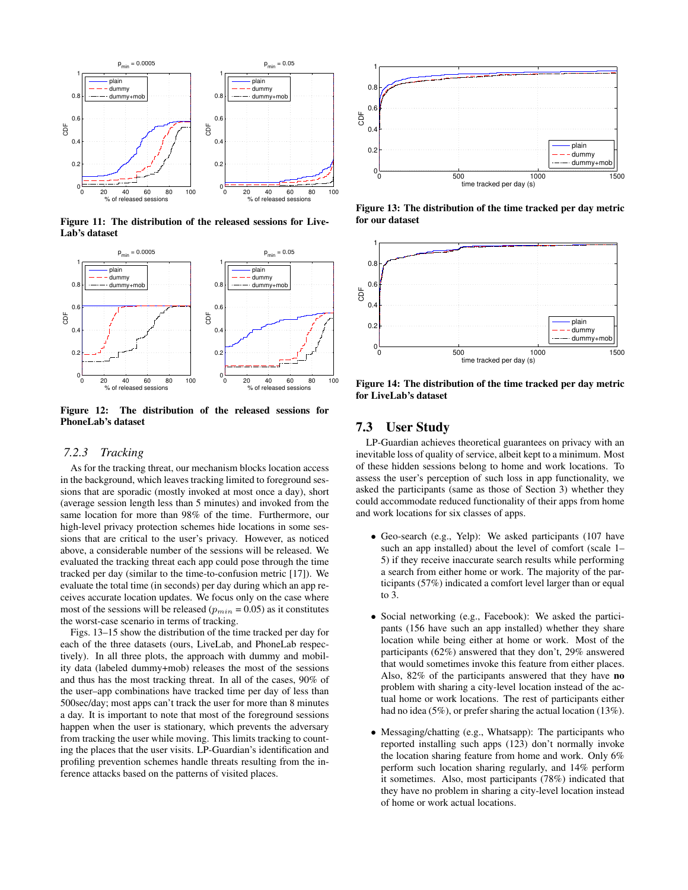

Figure 11: The distribution of the released sessions for Live-Lab's dataset



Figure 12: The distribution of the released sessions for PhoneLab's dataset

#### *7.2.3 Tracking*

As for the tracking threat, our mechanism blocks location access in the background, which leaves tracking limited to foreground sessions that are sporadic (mostly invoked at most once a day), short (average session length less than 5 minutes) and invoked from the same location for more than 98% of the time. Furthermore, our high-level privacy protection schemes hide locations in some sessions that are critical to the user's privacy. However, as noticed above, a considerable number of the sessions will be released. We evaluated the tracking threat each app could pose through the time tracked per day (similar to the time-to-confusion metric [17]). We evaluate the total time (in seconds) per day during which an app receives accurate location updates. We focus only on the case where most of the sessions will be released ( $p_{min} = 0.05$ ) as it constitutes the worst-case scenario in terms of tracking.

Figs. 13–15 show the distribution of the time tracked per day for each of the three datasets (ours, LiveLab, and PhoneLab respectively). In all three plots, the approach with dummy and mobility data (labeled dummy+mob) releases the most of the sessions and thus has the most tracking threat. In all of the cases, 90% of the user–app combinations have tracked time per day of less than 500sec/day; most apps can't track the user for more than 8 minutes a day. It is important to note that most of the foreground sessions happen when the user is stationary, which prevents the adversary from tracking the user while moving. This limits tracking to counting the places that the user visits. LP-Guardian's identification and profiling prevention schemes handle threats resulting from the inference attacks based on the patterns of visited places.



Figure 13: The distribution of the time tracked per day metric for our dataset



Figure 14: The distribution of the time tracked per day metric for LiveLab's dataset

# 7.3 User Study

LP-Guardian achieves theoretical guarantees on privacy with an inevitable loss of quality of service, albeit kept to a minimum. Most of these hidden sessions belong to home and work locations. To assess the user's perception of such loss in app functionality, we asked the participants (same as those of Section 3) whether they could accommodate reduced functionality of their apps from home and work locations for six classes of apps.

- Geo-search (e.g., Yelp): We asked participants (107 have such an app installed) about the level of comfort (scale 1– 5) if they receive inaccurate search results while performing a search from either home or work. The majority of the participants (57%) indicated a comfort level larger than or equal to 3.
- Social networking (e.g., Facebook): We asked the participants (156 have such an app installed) whether they share location while being either at home or work. Most of the participants (62%) answered that they don't, 29% answered that would sometimes invoke this feature from either places. Also, 82% of the participants answered that they have no problem with sharing a city-level location instead of the actual home or work locations. The rest of participants either had no idea (5%), or prefer sharing the actual location (13%).
- Messaging/chatting (e.g., Whatsapp): The participants who reported installing such apps (123) don't normally invoke the location sharing feature from home and work. Only 6% perform such location sharing regularly, and 14% perform it sometimes. Also, most participants (78%) indicated that they have no problem in sharing a city-level location instead of home or work actual locations.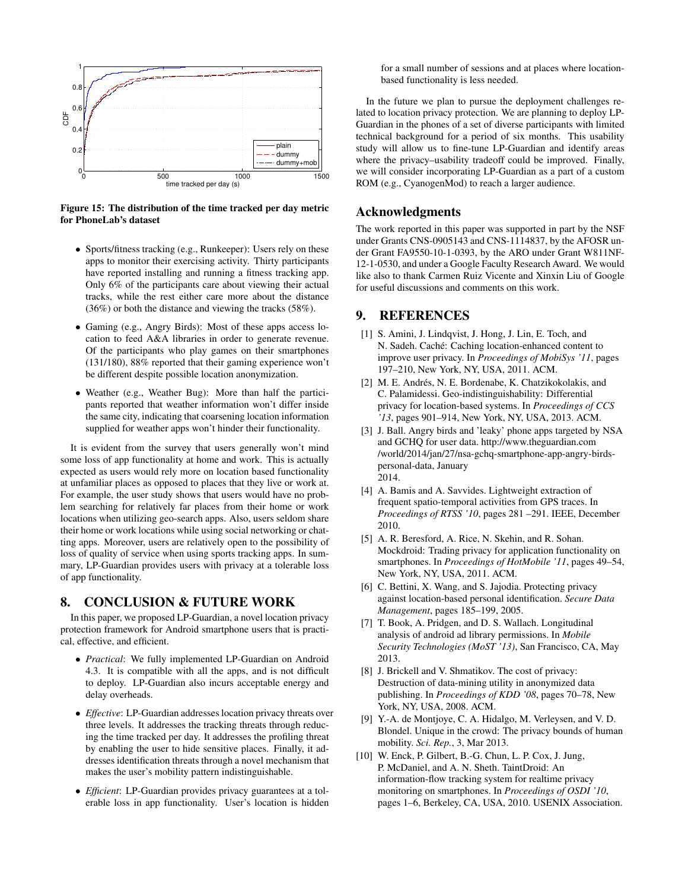

#### Figure 15: The distribution of the time tracked per day metric for PhoneLab's dataset

- Sports/fitness tracking (e.g., Runkeeper): Users rely on these apps to monitor their exercising activity. Thirty participants have reported installing and running a fitness tracking app. Only 6% of the participants care about viewing their actual tracks, while the rest either care more about the distance (36%) or both the distance and viewing the tracks (58%).
- Gaming (e.g., Angry Birds): Most of these apps access location to feed A&A libraries in order to generate revenue. Of the participants who play games on their smartphones (131/180), 88% reported that their gaming experience won't be different despite possible location anonymization.
- Weather (e.g., Weather Bug): More than half the participants reported that weather information won't differ inside the same city, indicating that coarsening location information supplied for weather apps won't hinder their functionality.

It is evident from the survey that users generally won't mind some loss of app functionality at home and work. This is actually expected as users would rely more on location based functionality at unfamiliar places as opposed to places that they live or work at. For example, the user study shows that users would have no problem searching for relatively far places from their home or work locations when utilizing geo-search apps. Also, users seldom share their home or work locations while using social networking or chatting apps. Moreover, users are relatively open to the possibility of loss of quality of service when using sports tracking apps. In summary, LP-Guardian provides users with privacy at a tolerable loss of app functionality.

## 8. CONCLUSION & FUTURE WORK

In this paper, we proposed LP-Guardian, a novel location privacy protection framework for Android smartphone users that is practical, effective, and efficient.

- *Practical*: We fully implemented LP-Guardian on Android 4.3. It is compatible with all the apps, and is not difficult to deploy. LP-Guardian also incurs acceptable energy and delay overheads.
- *Effective*: LP-Guardian addresses location privacy threats over three levels. It addresses the tracking threats through reducing the time tracked per day. It addresses the profiling threat by enabling the user to hide sensitive places. Finally, it addresses identification threats through a novel mechanism that makes the user's mobility pattern indistinguishable.
- *Efficient*: LP-Guardian provides privacy guarantees at a tolerable loss in app functionality. User's location is hidden

for a small number of sessions and at places where locationbased functionality is less needed.

In the future we plan to pursue the deployment challenges related to location privacy protection. We are planning to deploy LP-Guardian in the phones of a set of diverse participants with limited technical background for a period of six months. This usability study will allow us to fine-tune LP-Guardian and identify areas where the privacy–usability tradeoff could be improved. Finally, we will consider incorporating LP-Guardian as a part of a custom ROM (e.g., CyanogenMod) to reach a larger audience.

# Acknowledgments

The work reported in this paper was supported in part by the NSF under Grants CNS-0905143 and CNS-1114837, by the AFOSR under Grant FA9550-10-1-0393, by the ARO under Grant W811NF-12-1-0530, and under a Google Faculty Research Award. We would like also to thank Carmen Ruiz Vicente and Xinxin Liu of Google for useful discussions and comments on this work.

# 9. REFERENCES

- [1] S. Amini, J. Lindqvist, J. Hong, J. Lin, E. Toch, and N. Sadeh. Caché: Caching location-enhanced content to improve user privacy. In *Proceedings of MobiSys '11*, pages 197–210, New York, NY, USA, 2011. ACM.
- [2] M. E. Andrés, N. E. Bordenabe, K. Chatzikokolakis, and C. Palamidessi. Geo-indistinguishability: Differential privacy for location-based systems. In *Proceedings of CCS '13*, pages 901–914, New York, NY, USA, 2013. ACM.
- [3] J. Ball. Angry birds and 'leaky' phone apps targeted by NSA and GCHQ for user data. http://www.theguardian.com /world/2014/jan/27/nsa-gchq-smartphone-app-angry-birdspersonal-data, January 2014.
- [4] A. Bamis and A. Savvides. Lightweight extraction of frequent spatio-temporal activities from GPS traces. In *Proceedings of RTSS '10*, pages 281 –291. IEEE, December 2010.
- [5] A. R. Beresford, A. Rice, N. Skehin, and R. Sohan. Mockdroid: Trading privacy for application functionality on smartphones. In *Proceedings of HotMobile '11*, pages 49–54, New York, NY, USA, 2011. ACM.
- [6] C. Bettini, X. Wang, and S. Jajodia. Protecting privacy against location-based personal identification. *Secure Data Management*, pages 185–199, 2005.
- [7] T. Book, A. Pridgen, and D. S. Wallach. Longitudinal analysis of android ad library permissions. In *Mobile Security Technologies (MoST '13)*, San Francisco, CA, May 2013.
- [8] J. Brickell and V. Shmatikov. The cost of privacy: Destruction of data-mining utility in anonymized data publishing. In *Proceedings of KDD '08*, pages 70–78, New York, NY, USA, 2008. ACM.
- [9] Y.-A. de Montjoye, C. A. Hidalgo, M. Verleysen, and V. D. Blondel. Unique in the crowd: The privacy bounds of human mobility. *Sci. Rep.*, 3, Mar 2013.
- [10] W. Enck, P. Gilbert, B.-G. Chun, L. P. Cox, J. Jung, P. McDaniel, and A. N. Sheth. TaintDroid: An information-flow tracking system for realtime privacy monitoring on smartphones. In *Proceedings of OSDI '10*, pages 1–6, Berkeley, CA, USA, 2010. USENIX Association.